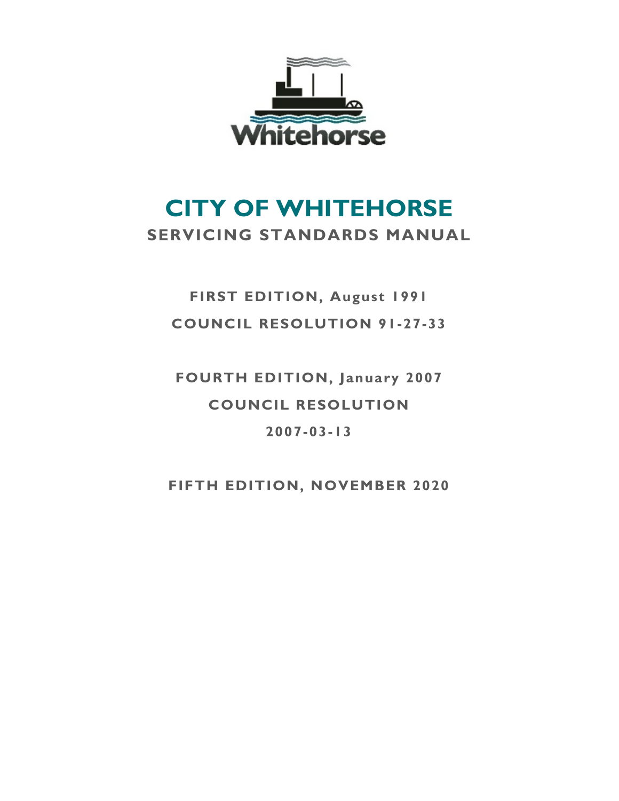

# **CITY OF WHITEHORSE SERVICING STANDARDS MANUAL**

## **FIRST EDITION, August 1991 COUNCIL RESOLUTION 91-27-33**

**FOURTH EDITION, January 2007 COUNCIL RESOLUTION 2007-03-13**

**FIFTH EDITION, NOVEMBER 2020**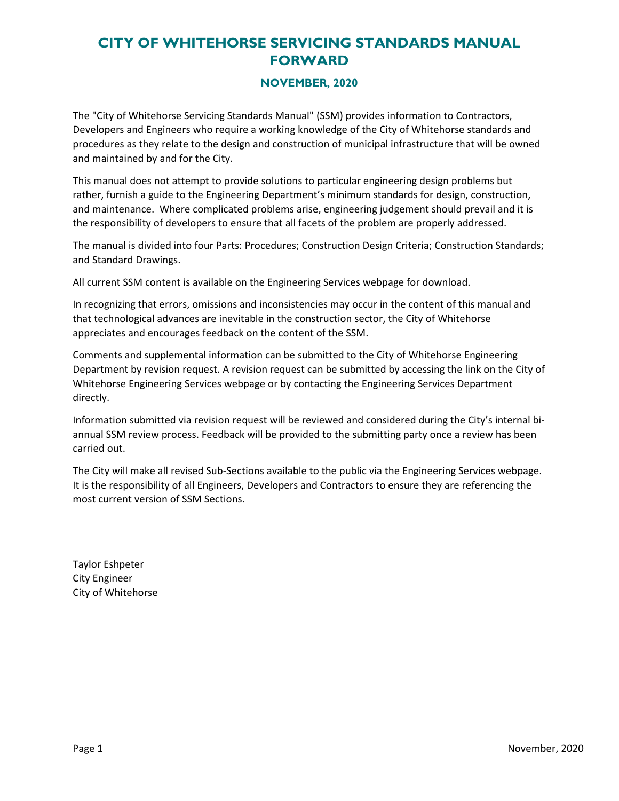### **CITY OF WHITEHORSE SERVICING STANDARDS MANUAL FORWARD**

### **NOVEMBER, 2020**

The "City of Whitehorse Servicing Standards Manual" (SSM) provides information to Contractors, Developers and Engineers who require a working knowledge of the City of Whitehorse standards and procedures as they relate to the design and construction of municipal infrastructure that will be owned and maintained by and for the City.

This manual does not attempt to provide solutions to particular engineering design problems but rather, furnish a guide to the Engineering Department's minimum standards for design, construction, and maintenance. Where complicated problems arise, engineering judgement should prevail and it is the responsibility of developers to ensure that all facets of the problem are properly addressed.

The manual is divided into four Parts: Procedures; Construction Design Criteria; Construction Standards; and Standard Drawings.

All current SSM content is available on the Engineering Services webpage for download.

In recognizing that errors, omissions and inconsistencies may occur in the content of this manual and that technological advances are inevitable in the construction sector, the City of Whitehorse appreciates and encourages feedback on the content of the SSM.

Comments and supplemental information can be submitted to the City of Whitehorse Engineering Department by revision request. A revision request can be submitted by accessing the link on the City of Whitehorse Engineering Services webpage or by contacting the Engineering Services Department directly.

Information submitted via revision request will be reviewed and considered during the City's internal biannual SSM review process. Feedback will be provided to the submitting party once a review has been carried out.

The City will make all revised Sub-Sections available to the public via the Engineering Services webpage. It is the responsibility of all Engineers, Developers and Contractors to ensure they are referencing the most current version of SSM Sections.

Taylor Eshpeter City Engineer City of Whitehorse